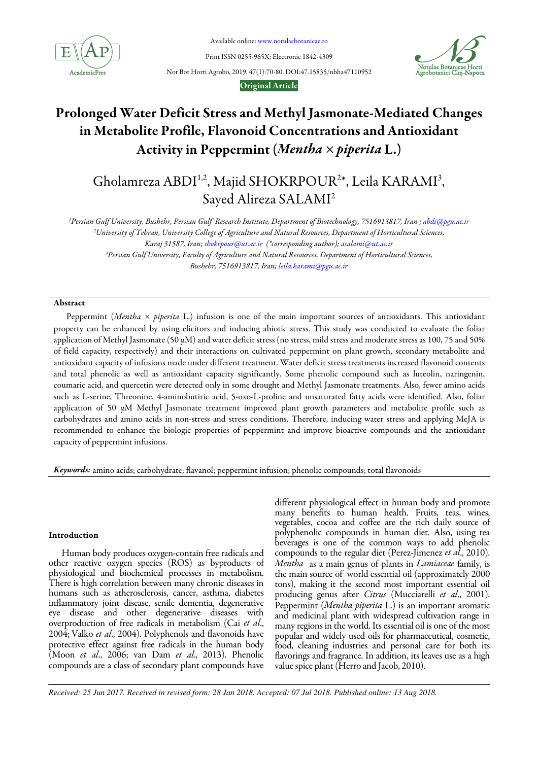

Available online: www.notulaebotanicae.ro

Print ISSN 0255-965X; Electronic 1842-4309

Not Bot Horti Agrobo, 2019, 47(1):70-80. DOI:47.15835/nbha47110952





# Prolonged Water Deficit Stress and Methyl Jasmonate-Mediated Changes in Metabolite Profile, Flavonoid Concentrations and Antioxidant Activity in Peppermint (Mentha  $\times$  piperita L.)

Gholamreza ABDI<sup>1,2</sup>, Majid SHOKRPOUR<sup>2\*</sup>, Leila KARAMI<sup>3</sup>, Sayed Alireza SALAMI<sup>2</sup>

<sup>1</sup>Persian Gulf University, Bushehr, Persian Gulf Research Institute, Department of Biotechnology, 7516913817, Iran ; abdi@pgu.ac.ir <sup>2</sup>University of Tehran, University College of Agriculture and Natural Resources, Department of Horticultural Sciences, Karaj 31587, Iran; shokrpour@ut.ac.ir (\*corresponding author); asalami@ut.ac.ir

<sup>3</sup>Persian Gulf University, Faculty of Agriculture and Natural Resources, Department of Horticultural Sciences, Bushehr, 7516913817, Iran; leila.karami@pgu.ac.ir

## Abstract

Peppermint (Mentha  $\times$  piperita L.) infusion is one of the main important sources of antioxidants. This antioxidant property can be enhanced by using elicitors and inducing abiotic stress. This study was conducted to evaluate the foliar application of Methyl Jasmonate (50 µM) and water deficit stress (no stress, mild stress and moderate stress as 100, 75 and 50% of field capacity, respectively) and their interactions on cultivated peppermint on plant growth, secondary metabolite and antioxidant capacity of infusions made under different treatment. Water deficit stress treatments increased flavonoid contents and total phenolic as well as antioxidant capacity significantly. Some phenolic compound such as luteolin, naringenin, coumaric acid, and quercetin were detected only in some drought and Methyl Jasmonate treatments. Also, fewer amino acids such as L-serine, Threonine, 4-aminobutiric acid, 5-oxo-L-proline and unsaturated fatty acids were identified. Also, foliar application of 50 µM Methyl Jasmonate treatment improved plant growth parameters and metabolite profile such as carbohydrates and amino acids in non-stress and stress conditions. Therefore, inducing water stress and applying MeJA is recommended to enhance the biologic properties of peppermint and improve bioactive compounds and the antioxidant capacity of peppermint infusions.

Keywords: amino acids; carbohydrate; flavanol; peppermint infusion; phenolic compounds; total flavonoids

## Introduction

Human body produces oxygen-contain free radicals and other reactive oxygen species (ROS) as byproducts of physiological and biochemical processes in metabolism. There is high correlation between many chronic diseases in humans such as atherosclerosis, cancer, asthma, diabetes inflammatory joint disease, senile dementia, degenerative eye disease and other degenerative diseases with overproduction of free radicals in metabolism (Cai et al., 2004; Valko et al., 2004). Polyphenols and flavonoids have protective effect against free radicals in the human body (Moon et al., 2006; van Dam et al., 2013). Phenolic compounds are a class of secondary plant compounds have

different physiological effect in human body and promote many benefits to human health. Fruits, teas, wines, vegetables, cocoa and coffee are the rich daily source of polyphenolic compounds in human diet. Also, using tea beverages is one of the common ways to add phenolic compounds to the regular diet (Perez-Jimenez et al., 2010). Mentha as a main genus of plants in *Lamiaceae* family, is the main source of world essential oil (approximately 2000 tons), making it the second most important essential oil producing genus after Citrus (Mucciarelli et al., 2001). Peppermint (Mentha piperita L.) is an important aromatic and medicinal plant with widespread cultivation range in many regions in the world. Its essential oil is one of the most popular and widely used oils for pharmaceutical, cosmetic, food, cleaning industries and personal care for both its flavorings and fragrance. In addition, its leaves use as a high value spice plant (Herro and Jacob, 2010).

*Received: 25 Jun 2017. Received in revised form: 28 Jan 2018. Accepted: 07 Jul 2018. Published online: 13 Aug 2018.*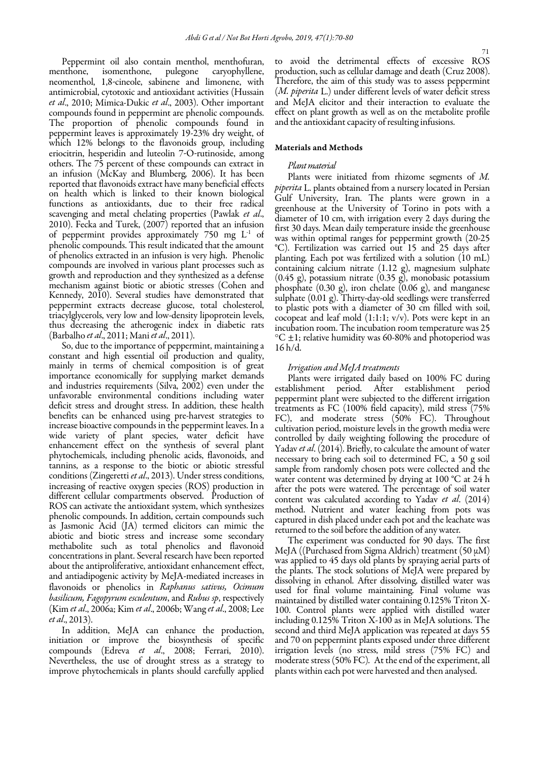Peppermint oil also contain menthol, menthofuran, menthone, isomenthone, pulegone caryophyllene, neomenthol, 1,8-cineole, sabinene and limonene, with antimicrobial, cytotoxic and antioxidant activities (Hussain et al., 2010; Mimica-Dukic et al., 2003). Other important compounds found in peppermint are phenolic compounds. The proportion of phenolic compounds found in peppermint leaves is approximately 19-23% dry weight, of which 12% belongs to the flavonoids group, including eriocitrin, hesperidin and luteolin 7-O-rutinoside, among others. The 75 percent of these compounds can extract in an infusion (McKay and Blumberg, 2006). It has been reported that flavonoids extract have many beneficial effects on health which is linked to their known biological functions as antioxidants, due to their free radical scavenging and metal chelating properties (Pawlak et al., 2010). Fecka and Turek, (2007) reported that an infusion

of peppermint provides approximately 750 mg L<sup>-1</sup> of phenolic compounds. This result indicated that the amount of phenolics extracted in an infusion is very high. Phenolic compounds are involved in various plant processes such as growth and reproduction and they synthesized as a defense mechanism against biotic or abiotic stresses (Cohen and Kennedy, 2010). Several studies have demonstrated that peppermint extracts decrease glucose, total cholesterol, triacylglycerols, very low and low-density lipoprotein levels, thus decreasing the atherogenic index in diabetic rats (Barbalho et al., 2011; Mani et al., 2011).

So, due to the importance of peppermint, maintaining a constant and high essential oil production and quality, mainly in terms of chemical composition is of great importance economically for supplying market demands and industries requirements (Silva, 2002) even under the unfavorable environmental conditions including water deficit stress and drought stress. In addition, these health benefits can be enhanced using pre-harvest strategies to increase bioactive compounds in the peppermint leaves. In a wide variety of plant species, water deficit have enhancement effect on the synthesis of several plant phytochemicals, including phenolic acids, flavonoids, and tannins, as a response to the biotic or abiotic stressful conditions (Zingeretti et al., 2013). Under stress conditions, increasing of reactive oxygen species (ROS) production in different cellular compartments observed. Production of ROS can activate the antioxidant system, which synthesizes phenolic compounds. In addition, certain compounds such as Jasmonic Acid (JA) termed elicitors can mimic the abiotic and biotic stress and increase some secondary methabolite such as total phenolics and flavonoid concentrations in plant. Several research have been reported about the antiproliferative, antioxidant enhancement effect, and antiadipogenic activity by MeJA-mediated increases in flavonoids or phenolics in Raphanus sativus, Ocimum basilicum, Fagopyrum esculentum, and Rubus sp, respectively (Kim et al., 2006a; Kim et al., 2006b; Wang et al., 2008; Lee et al., 2013).

In addition, MeJA can enhance the production, initiation or improve the biosynthesis of specific compounds (Edreva et al., 2008; Ferrari, 2010). Nevertheless, the use of drought stress as a strategy to improve phytochemicals in plants should carefully applied to avoid the detrimental effects of excessive ROS production, such as cellular damage and death (Cruz 2008). Therefore, the aim of this study was to assess peppermint (M. piperita L.) under different levels of water deficit stress and MeJA elicitor and their interaction to evaluate the effect on plant growth as well as on the metabolite profile and the antioxidant capacity of resulting infusions.

## Materials and Methods

## Plant material

Plants were initiated from rhizome segments of M. piperita L. plants obtained from a nursery located in Persian Gulf University, Iran. The plants were grown in a greenhouse at the University of Torino in pots with a diameter of 10 cm, with irrigation every 2 days during the first 30 days. Mean daily temperature inside the greenhouse was within optimal ranges for peppermint growth (20-25 °C). Fertilization was carried out 15 and 25 days after planting. Each pot was fertilized with a solution (10 mL) containing calcium nitrate (1.12 g), magnesium sulphate (0.45 g), potassium nitrate (0.35 g), monobasic potassium phosphate (0.30 g), iron chelate (0.06 g), and manganese sulphate (0.01 g). Thirty-day-old seedlings were transferred to plastic pots with a diameter of 30 cm filled with soil, cocopeat and leaf mold (1:1:1; v/v). Pots were kept in an incubation room. The incubation room temperature was 25  $\rm{^{\circ}C}$  ±1; relative humidity was 60-80% and photoperiod was 16 h/d.

## Irrigation and MeJA treatments

Plants were irrigated daily based on 100% FC during establishment period. After establishment period peppermint plant were subjected to the different irrigation treatments as FC (100% field capacity), mild stress (75% FC), and moderate stress (50% FC). Throughout cultivation period, moisture levels in the growth media were controlled by daily weighting following the procedure of Yadav et al. (2014). Briefly, to calculate the amount of water necessary to bring each soil to determined FC, a 50 g soil sample from randomly chosen pots were collected and the water content was determined by drying at 100 °C at 24 h after the pots were watered. The percentage of soil water content was calculated according to Yadav et al. (2014) method. Nutrient and water leaching from pots was captured in dish placed under each pot and the leachate was returned to the soil before the addition of any water.

The experiment was conducted for 90 days. The first MeJA ((Purchased from Sigma Aldrich) treatment (50  $\mu$ M) was applied to 45 days old plants by spraying aerial parts of the plants. The stock solutions of MeJA were prepared by dissolving in ethanol. After dissolving, distilled water was used for final volume maintaining. Final volume was maintained by distilled water containing 0.125% Triton X-100. Control plants were applied with distilled water including 0.125% Triton X-100 as in MeJA solutions. The second and third MeJA application was repeated at days 55 and 70 on peppermint plants exposed under three different irrigation levels (no stress, mild stress (75% FC) and moderate stress (50% FC). At the end of the experiment, all plants within each pot were harvested and then analysed.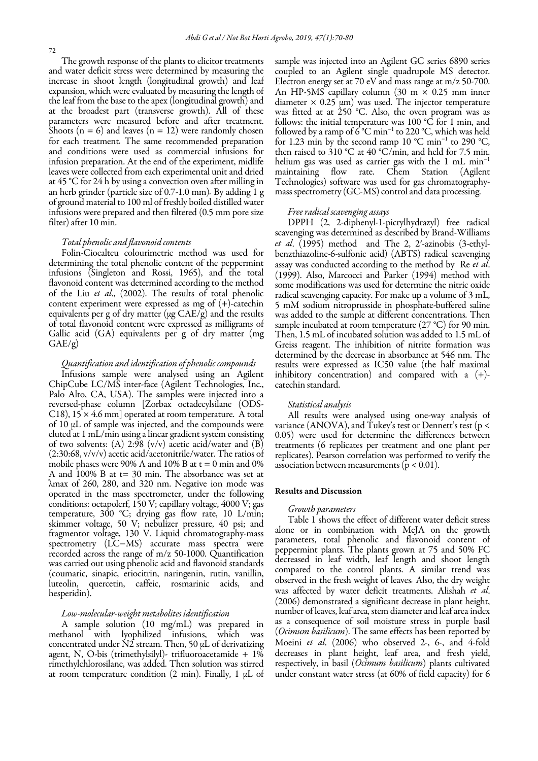The growth response of the plants to elicitor treatments and water deficit stress were determined by measuring the increase in shoot length (longitudinal growth) and leaf expansion, which were evaluated by measuring the length of the leaf from the base to the apex (longitudinal growth) and at the broadest part (transverse growth). All of these parameters were measured before and after treatment. Shoots ( $n = 6$ ) and leaves ( $n = 12$ ) were randomly chosen for each treatment. The same recommended preparation and conditions were used as commercial infusions for infusion preparation. At the end of the experiment, midlife leaves were collected from each experimental unit and dried at 45 °C for 24 h by using a convection oven after milling in an herb grinder (particle size of 0.7-1.0 mm). By adding 1 g of ground material to 100 ml of freshly boiled distilled water infusions were prepared and then filtered (0.5 mm pore size filter) after 10 min.

## Total phenolic and flavonoid contents

Folin-Ciocalteu colourimetric method was used for determining the total phenolic content of the peppermint infusions (Singleton and Rossi, 1965), and the total flavonoid content was determined according to the method of the Liu *et al.*, (2002). The results of total phenolic content experiment were expressed as mg of (+)-catechin equivalents per g of dry matter ( $\mu$ g CAE/g) and the results of total flavonoid content were expressed as milligrams of Gallic acid (GA) equivalents per g of dry matter (mg GAE/g)

#### Quantification and identification of phenolic compounds

 (coumaric, sinapic, eriocitrin, naringenin, rutin, vanillin, Infusions sample were analysed using an Agilent ChipCube LC/MS inter-face (Agilent Technologies, Inc., Palo Alto, CA, USA). The samples were injected into a reversed-phase column [Zorbax octadecylsilane (ODS-C18),  $15 \times 4.6$  mm] operated at room temperature. A total of 10 μL of sample was injected, and the compounds were eluted at 1 mL/min using a linear gradient system consisting of two solvents: (A) 2:98  $(v/v)$  acetic acid/water and (B) (2:30:68, v/v/v) acetic acid/acetonitrile/water. The ratios of mobile phases were 90% A and 10% B at  $t = 0$  min and 0% A and  $100\%$  B at t= 30 min. The absorbance was set at λmax of 260, 280, and 320 nm. Negative ion mode was operated in the mass spectrometer, under the following conditions: octapolerf, 150 V; capillary voltage, 4000 V; gas temperature, 300 °C; drying gas flow rate, 10 L/min; skimmer voltage, 50 V; nebulizer pressure, 40 psi; and fragmentor voltage, 130 V. Liquid chromatography-mass spectrometry (LC−MS) accurate mass spectra were recorded across the range of m/z 50-1000. Quantification was carried out using phenolic acid and flavonoid standards luteolin, quercetin, caffeic, rosmarinic acids, and hesperidin).

## Low-molecular-weight metabolites identification

A sample solution (10 mg/mL) was prepared in methanol with lyophilized infusions, which was concentrated under  $N2$  stream. Then, 50  $\mu$ L of derivatizing agent, N, O-bis (trimethylsilyl)- trifluoroacetamide + 1% rimethylchlorosilane, was added. Then solution was stirred at room temperature condition  $(2 \text{ min})$ . Finally, 1  $\mu$ L of sample was injected into an Agilent GC series 6890 series coupled to an Agilent single quadrupole MS detector. Electron energy set at 70 eV and mass range at m/z 50-700. An HP-5MS capillary column (30 m × 0.25 mm inner diameter  $\times$  0.25  $\mu$ m) was used. The injector temperature was fitted at at 250 °C. Also, the oven program was as follows: the initial temperature was 100 °C for 1 min, and followed by a ramp of 6 °C min−1 to 220 °C, which was held for 1.23 min by the second ramp 10 °C min−1 to 290 °C, then raised to  $310 \text{ °C}$  at  $40 \text{ °C/min}$ , and held for 7.5 min. helium gas was used as carrier gas with the 1 mL min<sup>-1</sup> maintaining flow rate. Chem Station (Agilent Technologies) software was used for gas chromatographymass spectrometry (GC-MS) control and data processing.

## Free radical scavenging assays

DPPH (2, 2-diphenyl-1-picrylhydrazyl) free radical scavenging was determined as described by Brand-Williams et al. (1995) method and The 2, 2′-azinobis (3-ethylbenzthiazoline-6-sulfonic acid) (ABTS) radical scavenging assay was conducted according to the method by Re et al. (1999). Also, Marcocci and Parker (1994) method with some modifications was used for determine the nitric oxide radical scavenging capacity. For make up a volume of 3 mL, 5 mM sodium nitroprusside in phosphate-buffered saline was added to the sample at different concentrations. Then sample incubated at room temperature (27 °C) for 90 min. Then, 1.5 mL of incubated solution was added to 1.5 mL of Greiss reagent. The inhibition of nitrite formation was determined by the decrease in absorbance at 546 nm. The results were expressed as IC50 value (the half maximal inhibitory concentration) and compared with a  $(+)$ catechin standard.

#### Statistical analysis

All results were analysed using one-way analysis of variance (ANOVA), and Tukey's test or Dennett's test ( $p <$ 0.05) were used for determine the differences between treatments (6 replicates per treatment and one plant per replicates). Pearson correlation was performed to verify the association between measurements ( $p < 0.01$ ).

## Results and Discussion

#### Growth parameters

Table 1 shows the effect of different water deficit stress alone or in combination with MeJA on the growth parameters, total phenolic and flavonoid content of peppermint plants. The plants grown at 75 and 50% FC decreased in leaf width, leaf length and shoot length compared to the control plants. A similar trend was observed in the fresh weight of leaves. Also, the dry weight was affected by water deficit treatments. Alishah et al. (2006) demonstrated a significant decrease in plant height, number of leaves, leaf area, stem diameter and leaf area index as a consequence of soil moisture stress in purple basil (*Ocimum basilicum*). The same effects has been reported by Moeini et al. (2006) who observed 2-, 6-, and 4-fold decreases in plant height, leaf area, and fresh yield, respectively, in basil (Ocimum basilicum) plants cultivated under constant water stress (at 60% of field capacity) for 6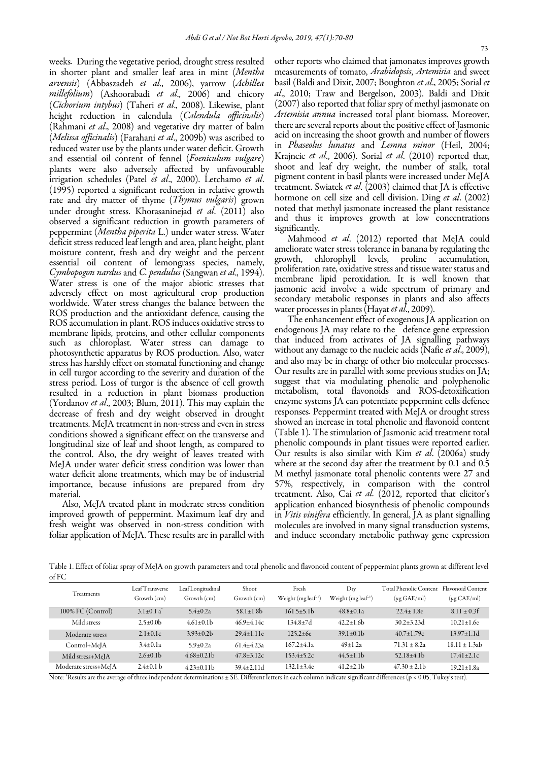weeks. During the vegetative period, drought stress resulted in shorter plant and smaller leaf area in mint (Mentha arvensis) (Abbaszadeh et al., 2006), yarrow (Achillea millefolium) (Ashoorabadi et al., 2006) and chicory (Cichorium intybus) (Taheri et al., 2008). Likewise, plant height reduction in calendula (Calendula officinalis) (Rahmani et al., 2008) and vegetative dry matter of balm (Melissa officinalis) (Farahani et al., 2009b) was ascribed to reduced water use by the plants under water deficit. Growth and essential oil content of fennel (Foeniculum vulgare) plants were also adversely affected by unfavourable irrigation schedules (Patel et al., 2000). Letchamo et al. (1995) reported a significant reduction in relative growth rate and dry matter of thyme (Thymus vulgaris) grown under drought stress. Khorasaninejad et al. (2011) also observed a significant reduction in growth parameters of peppermint (Mentha piperita L.) under water stress. Water deficit stress reduced leaf length and area, plant height, plant moisture content, fresh and dry weight and the percent essential oil content of lemongrass species, namely, Cymbopogon nardus and C. pendulus (Sangwan et al., 1994). Water stress is one of the major abiotic stresses that adversely effect on most agricultural crop production worldwide. Water stress changes the balance between the ROS production and the antioxidant defence, causing the ROS accumulation in plant. ROS induces oxidative stress to membrane lipids, proteins, and other cellular components such as chloroplast. Water stress can damage to photosynthetic apparatus by ROS production. Also, water stress has harshly effect on stomatal functioning and change in cell turgor according to the severity and duration of the stress period. Loss of turgor is the absence of cell growth resulted in a reduction in plant biomass production (Yordanov et al., 2003; Blum, 2011). This may explain the decrease of fresh and dry weight observed in drought treatments. MeJA treatment in non-stress and even in stress conditions showed a significant effect on the transverse and longitudinal size of leaf and shoot length, as compared to the control. Also, the dry weight of leaves treated with MeJA under water deficit stress condition was lower than water deficit alone treatments, which may be of industrial importance, because infusions are prepared from dry material.

Also, MeJA treated plant in moderate stress condition improved growth of peppermint. Maximum leaf dry and fresh weight was observed in non-stress condition with foliar application of MeJA. These results are in parallel with other reports who claimed that jamonates improves growth measurements of tomato, Arabidopsis, Artemisia and sweet basil (Baldi and Dixit, 2007; Boughton et al., 2005; Sorial et al., 2010; Traw and Bergelson, 2003). Baldi and Dixit (2007) also reported that foliar spry of methyl jasmonate on Artemisia annua increased total plant biomass. Moreover, there are several reports about the positive effect of Jasmonic acid on increasing the shoot growth and number of flowers in Phaseolus lunatus and Lemna minor (Heil, 2004; Krajncic et al., 2006). Sorial et al. (2010) reported that, shoot and leaf dry weight, the number of stalk, total pigment content in basil plants were increased under MeJA treatment. Swiatek et al. (2003) claimed that JA is effective hormone on cell size and cell division. Ding *et al.* (2002) noted that methyl jasmonate increased the plant resistance and thus it improves growth at low concentrations significantly.

Mahmood et al. (2012) reported that MeJA could ameliorate water stress tolerance in banana by regulating the growth, chlorophyll levels, proline accumulation, chlorophyll levels, proline accumulation, proliferation rate, oxidative stress and tissue water status and membrane lipid peroxidation. It is well known that jasmonic acid involve a wide spectrum of primary and secondary metabolic responses in plants and also affects water processes in plants (Hayat et al., 2009).

The enhancement effect of exogenous JA application on endogenous JA may relate to the defence gene expression that induced from activates of JA signalling pathways without any damage to the nucleic acids (Nafie et al., 2009), and also may be in charge of other bio molecular processes. Our results are in parallel with some previous studies on JA; suggest that via modulating phenolic and polyphenolic metabolism, total flavonoids and ROS-detoxification enzyme systems JA can potentiate peppermint cells defence responses. Peppermint treated with MeJA or drought stress showed an increase in total phenolic and flavonoid content (Table 1). The stimulation of Jasmonic acid treatment total phenolic compounds in plant tissues were reported earlier. Our results is also similar with Kim et al. (2006a) study where at the second day after the treatment by 0.1 and 0.5 M methyl jasmonate total phenolic contents were 27 and 57%, respectively, in comparison with the control treatment. Also, Cai et al. (2012, reported that elicitor's application enhanced biosynthesis of phenolic compounds in Vitis vinifera efficiently. In general, JA as plant signalling molecules are involved in many signal transduction systems, and induce secondary metabolic pathway gene expression

Table 1. Effect of foliar spray of MeJA on growth parameters and total phenolic and flavonoid content of peppermint plants grown at different level of FC

| Treatments           | Leaf Transverse<br>Growth (cm) | Leaf Longitudinal<br>Growth (cm) | Shoot<br>Growth (cm) | Fresh<br>Weight $(mg)$ leaf <sup>-1</sup> ) | Drv<br>Weight (mg leaf <sup>-1</sup> ) | <b>Total Phenolic Content</b><br>$(\mu$ g GAE/ml) | <b>Flavonoid Content</b><br>$(\mu$ g CAE/ml) |
|----------------------|--------------------------------|----------------------------------|----------------------|---------------------------------------------|----------------------------------------|---------------------------------------------------|----------------------------------------------|
| 100% FC (Control)    | $3.1 + 0.1 a$                  | $5.4 + 0.2a$                     | $58.1 + 1.8$ b       | $161.5 + 5.1b$                              | $48.8+0.1a$                            | $22.4 + 1.8e$                                     | $8.11 \pm 0.3$ f                             |
| Mild stress          | $2.5 + 0.0b$                   | $4.61+0.1b$                      | $46.9 + 4.14c$       | $134.8 + 7d$                                | $42.2 + 1.6b$                          | $30.2 \pm 3.23$ d                                 | $10.21 + 1.6e$                               |
| Moderate stress      | $2.1 \pm 0.1c$                 | $3.93 \pm 0.2 b$                 | $29.4+1.11e$         | $125.2 \pm 6e$                              | $39.1 + 0.1b$                          | $40.7 + 1.79c$                                    | $13.97 \pm 1.1$ d                            |
| Control+MeJA         | $3.4+0.1a$                     | $5.9 \pm 0.2a$                   | $61.4+4.23a$         | $167.2 + 4.1a$                              | $49+1.2a$                              | $71.31 + 8.2a$                                    | $18.11 \pm 1.3ab$                            |
| Mild stress+MeJA     | $2.6 + 0.1b$                   | $4.68+0.21b$                     | $47.8 + 3.12c$       | $153.4 \pm 5.2c$                            | $44.5 + 1.1b$                          | $52.18+4.1b$                                      | $17.41 + 2.1c$                               |
| Moderate stress+MeJA | $2.4 \pm 0.1$ b                | $4.23 \pm 0.11 b$                | $39.4 \pm 2.11$ d    | $132.1 \pm 3.4e$                            | $41.2 + 2.1b$                          | $47.30 + 2.1b$                                    | $19.21 \pm 1.8a$                             |

Note: "Results are the average of three independent determinations  $\pm$  SE. Different letters in each column indicate significant differences (p < 0.05, Tukey's test).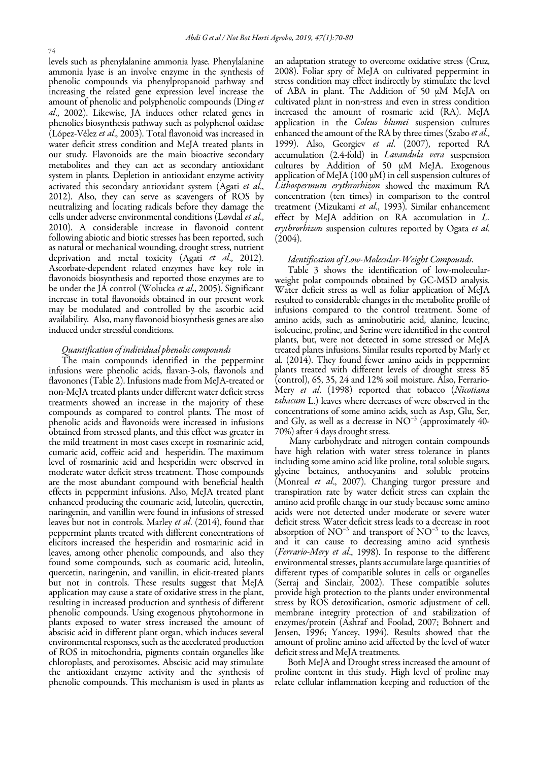levels such as phenylalanine ammonia lyase. Phenylalanine ammonia lyase is an involve enzyme in the synthesis of phenolic compounds via phenylpropanoid pathway and increasing the related gene expression level increase the amount of phenolic and polyphenolic compounds (Ding et al., 2002). Likewise, JA induces other related genes in phenolics biosynthesis pathway such as polyphenol oxidase (López-Vélez et al., 2003). Total flavonoid was increased in water deficit stress condition and MeJA treated plants in our study. Flavonoids are the main bioactive secondary metabolites and they can act as secondary antioxidant system in plants. Depletion in antioxidant enzyme activity activated this secondary antioxidant system (Agati et al., 2012). Also, they can serve as scavengers of ROS by neutralizing and locating radicals before they damage the cells under adverse environmental conditions (Løvdal et al., 2010). A considerable increase in flavonoid content following abiotic and biotic stresses has been reported, such as natural or mechanical wounding, drought stress, nutrient deprivation and metal toxicity (Agati et al., 2012). Ascorbate-dependent related enzymes have key role in flavonoids biosynthesis and reported those enzymes are to be under the JA control (Wolucka et al., 2005). Significant increase in total flavonoids obtained in our present work may be modulated and controlled by the ascorbic acid availability. Also, many flavonoid biosynthesis genes are also induced under stressful conditions.

# Quantification of individual phenolic compounds

 level of rosmarinic acid and hesperidin were observed in The main compounds identified in the peppermint infusions were phenolic acids, flavan-3-ols, flavonols and flavonones (Table 2). Infusions made from MeJA-treated or non-MeJA treated plants under different water deficit stress treatments showed an increase in the majority of these compounds as compared to control plants. The most of phenolic acids and flavonoids were increased in infusions obtained from stressed plants, and this effect was greater in the mild treatment in most cases except in rosmarinic acid, cumaric acid, coffeic acid and hesperidin. The maximum moderate water deficit stress treatment. Those compounds are the most abundant compound with beneficial health effects in peppermint infusions. Also, MeJA treated plant enhanced producing the coumaric acid, luteolin, quercetin, naringenin, and vanillin were found in infusions of stressed leaves but not in controls. Marley et al. (2014), found that peppermint plants treated with different concentrations of elicitors increased the hesperidin and rosmarinic acid in leaves, among other phenolic compounds, and also they found some compounds, such as coumaric acid, luteolin, quercetin, naringenin, and vanillin, in elicit-treated plants but not in controls. These results suggest that MeJA application may cause a state of oxidative stress in the plant, resulting in increased production and synthesis of different phenolic compounds. Using exogenous phytohormone in plants exposed to water stress increased the amount of abscisic acid in different plant organ, which induces several environmental responses, such as the accelerated production of ROS in mitochondria, pigments contain organelles like chloroplasts, and peroxisomes. Abscisic acid may stimulate the antioxidant enzyme activity and the synthesis of phenolic compounds. This mechanism is used in plants as an adaptation strategy to overcome oxidative stress (Cruz, 2008). Foliar spry of MeJA on cultivated peppermint in stress condition may effect indirectly by stimulate the level of ABA in plant. The Addition of 50 µM MeJA on cultivated plant in non-stress and even in stress condition increased the amount of rosmaric acid (RA). MeJA application in the Coleus blumei suspension cultures enhanced the amount of the RA by three times (Szabo et al., 1999). Also, Georgiev et al. (2007), reported RA accumulation (2.4-fold) in Lavandula vera suspension cultures by Addition of 50 µM MeJA. Exogenous application of MeJA (100  $\mu$ M) in cell suspension cultures of Lithospermum erythrorhizon showed the maximum RA concentration (ten times) in comparison to the control treatment (Mizukami et al., 1993). Similar enhancement effect by MeJA addition on RA accumulation in L. erythrorhizon suspension cultures reported by Ogata et al.  $(2004).$ 

## Identification of Low-Molecular-Weight Compounds.

Table 3 shows the identification of low-molecularweight polar compounds obtained by GC-MSD analysis. Water deficit stress as well as foliar application of MeJA resulted to considerable changes in the metabolite profile of infusions compared to the control treatment. Some of amino acids, such as aminobutiric acid, alanine, leucine, isoleucine, proline, and Serine were identified in the control plants, but, were not detected in some stressed or MeJA treated plants infusions. Similar results reported by Marly et al. (2014). They found fewer amino acids in peppermint plants treated with different levels of drought stress 85 (control), 65, 35, 24 and 12% soil moisture. Also, Ferrario-Mery et al. (1998) reported that tobacco (Nicotiana tabacum L.) leaves where decreases of were observed in the concentrations of some amino acids, such as Asp, Glu, Ser, and Gly, as well as a decrease in  $NO^{-3}$  (approximately 40-70%) after 4 days drought stress.

Many carbohydrate and nitrogen contain compounds have high relation with water stress tolerance in plants including some amino acid like proline, total soluble sugars, glycine betaines, anthocyanins and soluble proteins (Monreal et al., 2007). Changing turgor pressure and transpiration rate by water deficit stress can explain the amino acid profile change in our study because some amino acids were not detected under moderate or severe water deficit stress. Water deficit stress leads to a decrease in root absorption of NO−3 and transport of NO−3 to the leaves, and it can cause to decreasing amino acid synthesis (Ferrario-Mery et al., 1998). In response to the different environmental stresses, plants accumulate large quantities of different types of compatible solutes in cells or organelles (Serraj and Sinclair, 2002). These compatible solutes provide high protection to the plants under environmental stress by ROS detoxification, osmotic adjustment of cell, membrane integrity protection of and stabilization of enzymes/protein (Ashraf and Foolad, 2007; Bohnert and Jensen, 1996; Yancey, 1994). Results showed that the amount of proline amino acid affected by the level of water deficit stress and MeJA treatments.

Both MeJA and Drought stress increased the amount of proline content in this study. High level of proline may relate cellular inflammation keeping and reduction of the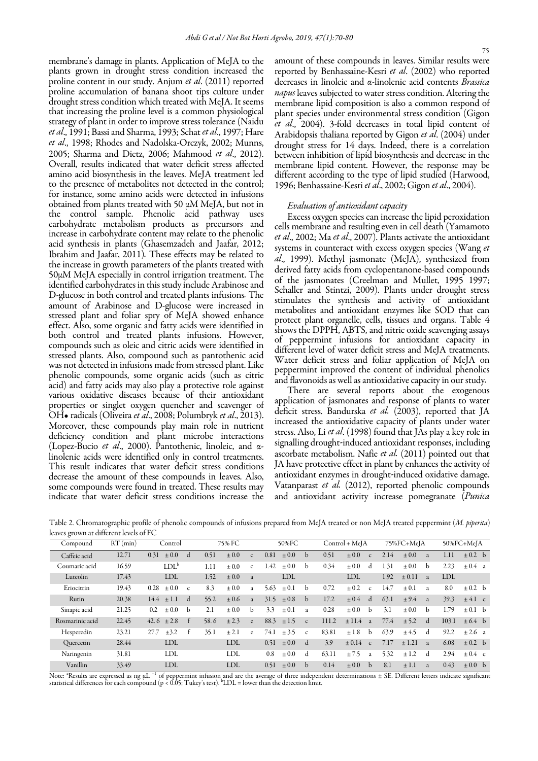membrane's damage in plants. Application of MeJA to the plants grown in drought stress condition increased the proline content in our study. Anjum et al. (2011) reported proline accumulation of banana shoot tips culture under drought stress condition which treated with MeJA. It seems that increasing the proline level is a common physiological strategy of plant in order to improve stress tolerance (Naidu et al., 1991; Bassi and Sharma, 1993; Schat et al., 1997; Hare et al., 1998; Rhodes and Nadolska-Orczyk, 2002; Munns, 2005; Sharma and Dietz, 2006; Mahmood et al., 2012). Overall, results indicated that water deficit stress affected amino acid biosynthesis in the leaves. MeJA treatment led to the presence of metabolites not detected in the control; for instance, some amino acids were detected in infusions obtained from plants treated with 50 µM MeJA, but not in the control sample. Phenolic acid pathway uses carbohydrate metabolism products as precursors and increase in carbohydrate content may relate to the phenolic acid synthesis in plants (Ghasemzadeh and Jaafar, 2012; Ibrahim and Jaafar, 2011). These effects may be related to the increase in growth parameters of the plants treated with 50µM MeJA especially in control irrigation treatment. The identified carbohydrates in this study include Arabinose and D-glucose in both control and treated plants infusions. The amount of Arabinose and D-glucose were increased in stressed plant and foliar spry of MeJA showed enhance effect. Also, some organic and fatty acids were identified in both control and treated plants infusions. However, compounds such as oleic and citric acids were identified in stressed plants. Also, compound such as pantothenic acid was not detected in infusions made from stressed plant. Like phenolic compounds, some organic acids (such as citric acid) and fatty acids may also play a protective role against various oxidative diseases because of their antioxidant properties or singlet oxygen quencher and scavenger of OH• radicals (Oliveira et al., 2008; Polumbryk et al., 2013). Moreover, these compounds play main role in nutrient deficiency condition and plant microbe interactions (Lopez-Bucio et al., 2000). Pantothenic, linoleic, and αlinolenic acids were identified only in control treatments. This result indicates that water deficit stress conditions decrease the amount of these compounds in leaves. Also, some compounds were found in treated. These results may indicate that water deficit stress conditions increase the

amount of these compounds in leaves. Similar results were reported by Benhassaine-Kesri et al. (2002) who reported decreases in linoleic and α-linolenic acid contents Brassica napus leaves subjected to water stress condition. Altering the membrane lipid composition is also a common respond of plant species under environmental stress condition (Gigon et al., 2004). 3-fold decreases in total lipid content of Arabidopsis thaliana reported by Gigon et al. (2004) under drought stress for 14 days. Indeed, there is a correlation between inhibition of lipid biosynthesis and decrease in the membrane lipid content. However, the response may be different according to the type of lipid studied (Harwood, 1996; Benhassaine-Kesri et al., 2002; Gigon et al., 2004).

## Evaluation of antioxidant capacity

Excess oxygen species can increase the lipid peroxidation cells membrane and resulting even in cell death (Yamamoto et al., 2002; Ma et al., 2007). Plants activate the antioxidant systems in counteract with excess oxygen species (Wang et al., 1999). Methyl jasmonate (MeJA), synthesized from derived fatty acids from cyclopentanone-based compounds of the jasmonates (Creelman and Mullet, 1995 1997; Schaller and Stintzi, 2009). Plants under drought stress stimulates the synthesis and activity of antioxidant metabolites and antioxidant enzymes like SOD that can protect plant organelle, cells, tissues and organs. Table 4 shows the DPPH, ABTS, and nitric oxide scavenging assays of peppermint infusions for antioxidant capacity in different level of water deficit stress and MeJA treatments. Water deficit stress and foliar application of MeJA on peppermint improved the content of individual phenolics and flavonoids as well as antioxidative capacity in our study.

There are several reports about the exogenous application of jasmonates and response of plants to water deficit stress. Bandurska et al. (2003), reported that JA increased the antioxidative capacity of plants under water stress. Also, Li et al. (1998) found that JAs play a key role in signalling drought-induced antioxidant responses, including ascorbate metabolism. Nafie et al. (2011) pointed out that JA have protective effect in plant by enhances the activity of antioxidant enzymes in drought-induced oxidative damage. Vatanparast et al. (2012), reported phenolic compounds and antioxidant activity increase pomegranate (*Punica* 

Table 2. Chromatographic profile of phenolic compounds of infusions prepared from MeJA treated or non MeJA treated peppermint (M. piperita) leaves grown at different levels of FC

| Compound        | $RT$ (min) | Control                            |      | 75% FC     |                |      | 50%FC      |               |       | Control + MeJA |                |      | 75%FC+MeJA |              |            | 50%FC+MeJA  |
|-----------------|------------|------------------------------------|------|------------|----------------|------|------------|---------------|-------|----------------|----------------|------|------------|--------------|------------|-------------|
| Caffeic acid    | 12.71      | 0.31<br>$\pm 0.0$<br>d             | 0.51 | $\pm 0.0$  | $\mathsf{C}$   | 0.81 | $\pm 0.0$  | b             | 0.51  | $\pm 0.0$      | $\mathsf{C}$   | 2.14 | $\pm 0.0$  | a            | 1.11       | $\pm 0.2$ b |
| Coumaric acid   | 16.59      | LDL <sup>b</sup>                   | 1.11 | $+0.0$     | $\mathsf{C}$   | 1.42 | $\pm 0.0$  | b.            | 0.34  | $\pm 0.0$      | <sub>d</sub>   | 1.31 | $\pm 0.0$  | b.           | 2.23       | $\pm 0.4$ a |
| Luteolin        | 17.43      | <b>LDL</b>                         | 1.52 | $\pm 0.0$  | $\overline{a}$ |      | <b>LDL</b> |               |       | <b>LDL</b>     |                | 1.92 | $\pm 0.11$ | $\mathbf{a}$ | <b>LDL</b> |             |
| Eriocitrin      | 19.43      | $\pm 0.0$<br>0.28<br>$\mathcal{C}$ | 8.3  | $\pm 0.0$  | a              | 5.63 | $\pm 0.1$  | b             | 0.72  | $\pm 0.2$      | $\mathsf{C}$   | 14.7 | $\pm 0.1$  | a            | 8.0        | $\pm 0.2$ b |
| Rutin           | 20.38      | 14.4<br>$\pm 1.1$<br>d             | 55.2 | $\pm 0.6$  | $\overline{a}$ | 31.5 | $\pm 0.8$  | $\mathbf b$   | 17.2  | $\pm 0.4$      | $\mathbf d$    | 63.1 | ± 9.4      | $\mathbf{a}$ | 39.3       | $\pm 4.1$ c |
| Sinapic acid    | 21.25      | $\pm 0.0$<br>0.2<br>b              | 2.1  | $\pm 0.0$  | b.             | 3.3  | $\pm 0.1$  | a             | 0.28  | $\pm 0.0$      | b              | 3.1  | $\pm 0.0$  | b            | 1.79       | $\pm 0.1$ b |
| Rosmarinic acid | 22.45      | ± 2.8<br>42.6                      | 58.6 | ± 2.3      | e.             | 88.3 | ±1.5       | $\mathcal{C}$ | 111.2 | ± 11.4         | $\overline{a}$ | 77.4 | ± 5.2      | d            | 103.1      | $\pm 6.4$ b |
| Hesperedin      | 23.21      | $\pm 3.2$<br>27.7<br>$\pm$         | 35.1 | ± 2.1      | e.             | 74.1 | ± 3.5      | $\mathcal{C}$ | 83.81 | ±1.8           | b.             | 63.9 | ± 4.5      | d            | 92.2       | $\pm 2.6$ a |
| Quercetin       | 28.44      | <b>LDL</b>                         |      | <b>LDL</b> |                | 0.51 | $\pm 0.0$  | $\mathbf d$   | 3.9   | $\pm 0.14$     | $\mathcal{C}$  | 7.17 | ± 1.21     | $\mathbf{a}$ | 6.08       | $\pm 0.2$ b |
| Naringenin      | 31.81      | <b>LDL</b>                         |      | LDL        |                | 0.8  | $\pm 0.0$  | <sub>d</sub>  | 63.11 | ± 7.5          | $\mathbf{a}$   | 5.32 | ± 1.2      | d            | 2.94       | $\pm 0.4$ c |
| Vanillin        | 33.49      | <b>LDL</b>                         |      | <b>LDL</b> |                | 0.51 | $\pm 0.0$  | $\mathbf b$   | 0.14  | $\pm 0.0$      | b              | 8.1  | $\pm 1.1$  | a            | 0.43       | $\pm 0.0$ b |

Note: <sup>a</sup>Results are expressed as ng µL<sup>-1</sup> of peppermint infusion and are the average of three independent determinations ± SE. Different letters indicate significant statistical differences for each compound (p < 0.05; Tukey's test).  $^{\rm b}\text{LDL}$  = lower than the detection limit.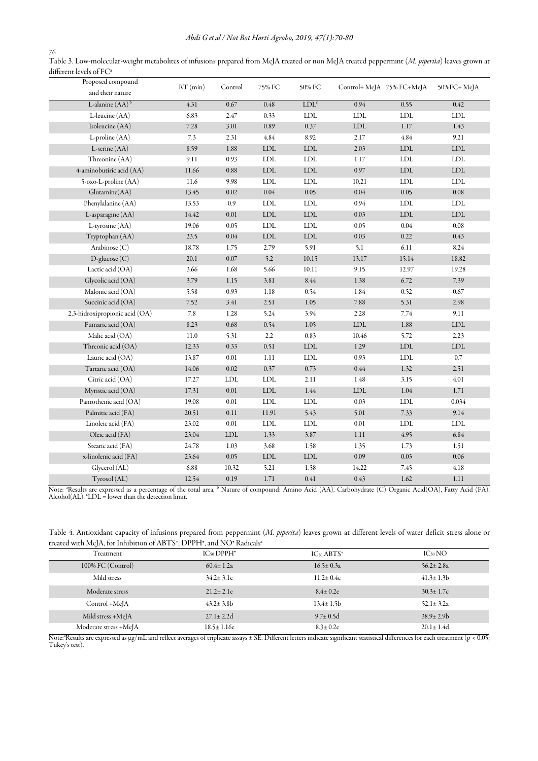76

| Table 3. Low-molecular-weight metabolites of infusions prepared from MeJA treated or non MeJA treated peppermint (M. piperita) leaves grown at |  |
|------------------------------------------------------------------------------------------------------------------------------------------------|--|
| different levels of $FC^a$                                                                                                                     |  |

| Proposed compound              | $RT$ (min) | Control     | 75% FC      | 50% FC           | Control+ MeJA 75% FC+MeJA |             | 50%FC+MeJA  |
|--------------------------------|------------|-------------|-------------|------------------|---------------------------|-------------|-------------|
| and their nature               |            |             |             |                  |                           |             |             |
| L-alanine $(AA)^b$             | 4.31       | 0.67        | 0.48        | LDL <sup>c</sup> | 0.94                      | 0.55        | 0.42        |
| L-leucine (AA)                 | 6.83       | 2.47        | 0.33        | ${\rm LDL}$      | <b>LDL</b>                | <b>LDL</b>  | ${\rm LDL}$ |
| Isoleucine (AA)                | 7.28       | 3.01        | 0.89        | 0.37             | ${\rm LDL}$               | 1.17        | 1.43        |
| L-proline (AA)                 | 7.3        | 2.31        | 4.84        | 8.92             | 2.17                      | 4.84        | 9.21        |
| L-serine (AA)                  | 8.59       | 1.88        | ${\rm LDL}$ | ${\rm LDL}$      | 2.03                      | ${\rm LDL}$ | ${\rm LDL}$ |
| Threonine (AA)                 | 9.11       | 0.93        | ${\rm LDL}$ | ${\rm LDL}$      | 1.17                      | ${\rm LDL}$ | ${\rm LDL}$ |
| 4-aminobutiric acid (AA)       | 11.66      | $\rm 0.88$  | ${\rm LDL}$ | ${\rm LDL}$      | 0.97                      | ${\rm LDL}$ | ${\rm LDL}$ |
| 5-oxo-L-proline (AA)           | $11.6\,$   | 9.98        | ${\rm LDL}$ | ${\rm LDL}$      | 10.21                     | ${\rm LDL}$ | ${\rm LDL}$ |
| Glutamine(AA)                  | 13.45      | 0.02        | $0.04\,$    | 0.05             | 0.04                      | 0.05        | $0.08\,$    |
| Phenylalanine (AA)             | 13.53      | 0.9         | ${\rm LDL}$ | ${\rm LDL}$      | 0.94                      | ${\rm LDL}$ | ${\rm LDL}$ |
| L-asparagine (AA)              | 14.42      | 0.01        | ${\rm LDL}$ | ${\rm LDL}$      | 0.03                      | ${\rm LDL}$ | ${\rm LDL}$ |
| L-tyrosine (AA)                | 19.06      | 0.05        | ${\rm LDL}$ | ${\rm LDL}$      | 0.05                      | 0.04        | $0.08\,$    |
| Tryptophan (AA)                | 23.5       | 0.04        | ${\rm LDL}$ | ${\rm LDL}$      | 0.03                      | 0.22        | 0.43        |
| Arabinose (C)                  | 18.78      | 1.75        | 2.79        | 5.91             | 5.1                       | 6.11        | 8.24        |
| $D$ -glucose $(C)$             | $20.1\,$   | 0.07        | 5.2         | 10.15            | 13.17                     | 15.14       | 18.82       |
| Lactic acid (OA)               | 3.66       | 1.68        | 5.66        | 10.11            | 9.15                      | 12.97       | 19.28       |
| Glycolic acid (OA)             | 3.79       | 1.15        | 3.81        | 8.44             | 1.38                      | 6.72        | 7.39        |
| Malonic acid (OA)              | 5.58       | 0.93        | 1.18        | 0.54             | 1.84                      | 0.52        | 0.67        |
| Succinic acid (OA)             | 7.52       | 3.41        | 2.51        | 1.05             | 7.88                      | 5.31        | 2.98        |
| 2,3-hidroxipropionic acid (OA) | $7.8\,$    | 1.28        | 5.24        | 3.94             | 2.28                      | 7.74        | 9.11        |
| Fumaric acid (OA)              | 8.23       | 0.68        | 0.54        | 1.05             | ${\rm LDL}$               | 1.88        | ${\rm LDL}$ |
| Malic acid (OA)                | 11.0       | 5.31        | 2.2         | 0.83             | 10.46                     | 5.72        | 2.23        |
| Threonic acid (OA)             | 12.33      | 0.33        | 0.51        | ${\rm LDL}$      | 1.29                      | ${\rm LDL}$ | ${\rm LDL}$ |
| Lauric acid (OA)               | 13.87      | $0.01\,$    | 1.11        | ${\rm LDL}$      | 0.93                      | <b>LDL</b>  | $0.7\,$     |
| Tartaric acid (OA)             | 14.06      | 0.02        | 0.37        | 0.73             | 0.44                      | 1.32        | 2.51        |
| Citric acid (OA)               | 17.27      | ${\rm LDL}$ | ${\rm LDL}$ | 2.11             | 1.48                      | 3.15        | 4.01        |
| Myristic acid (OA)             | 17.31      | 0.01        | ${\rm LDL}$ | 1.44             | <b>LDL</b>                | 1.04        | 1.71        |
| Pantothenic acid (OA)          | 19.08      | 0.01        | ${\rm LDL}$ | ${\rm LDL}$      | 0.03                      | <b>LDL</b>  | 0.034       |
| Palmitic acid (FA)             | 20.51      | 0.11        | 11.91       | 5.43             | 5.01                      | 7.33        | 9.14        |
| Linoleic acid (FA)             | 23.02      | 0.01        | ${\rm LDL}$ | ${\rm LDL}$      | 0.01                      | <b>LDL</b>  | ${\rm LDL}$ |
| Oleic acid (FA)                | 23.04      | ${\rm LDL}$ | 1.33        | $3.87\,$         | 1.11                      | 4.95        | 6.84        |
| Stearic acid (FA)              | 24.78      | 1.03        | 3.68        | 1.58             | 1.35                      | 1.73        | 1.51        |
| $\alpha$ -linolenic acid (FA)  | 23.64      | 0.05        | ${\rm LDL}$ | ${\rm LDL}$      | 0.09                      | 0.03        | $0.06\,$    |
| Glycerol (AL)                  | 6.88       | 10.32       | 5.21        | 1.58             | 14.22                     | 7.45        | 4.18        |
| Tyrosol (AL)                   | 12.54      | $0.19\,$    | 1.71        | 0.41             | 0.43                      | 1.62        | 1.11        |

Note: "Results are expressed as a percentage of the total area. <sup>b</sup> Nature of compound: Amino Acid (AA), Carbohydrate (C) Organic Acid(OA), Fatty Acid (FA),  $\text{Alcohol}(\text{AL})$ .  $\text{LDL} = \text{lower than the detection limit.}$ 

| Table 4. Antioxidant capacity of infusions prepared from peppermint ( <i>M. piperita</i> ) leaves grown at different levels of water deficit stress alone or |  |  |  |  |  |  |  |  |  |
|--------------------------------------------------------------------------------------------------------------------------------------------------------------|--|--|--|--|--|--|--|--|--|
| treated with MeJA, for Inhibition of ABTS+, DPPH•, and NO• Radicalsª                                                                                         |  |  |  |  |  |  |  |  |  |

| Treatment             | $IC_{50}$ DPPH $^{\bullet}$ | $IC50 ABTS+$     | $IC_{50}NO$      |
|-----------------------|-----------------------------|------------------|------------------|
| 100% FC (Control)     | $60.4 \pm 1.2a$             | $16.5 \pm 0.3a$  | $56.2 \pm 2.8a$  |
| Mild stress           | $34.2 \pm 3.1c$             | $11.2 \pm 0.4c$  | $41.3 \pm 1.3 b$ |
| Moderate stress       | $21.2 \pm 2.1$ e            | $8.4 \pm 0.2e$   | $30.3 \pm 1.7c$  |
| Control +MeJA         | $43.2 \pm 3.8$              | $13.4 \pm 1.5 b$ | $52.1 \pm 3.2a$  |
| Mild stress +MeJA     | $27.1 \pm 2.2$ d            | $9.7 \pm 0.5d$   | $38.9 \pm 2.9 b$ |
| Moderate stress +MeJA | $18.5 \pm 1.16e$            | $8.3 \pm 0.2e$   | $20.1 \pm 1.4$ d |

Note:<sup>a</sup>Results are expressed as µg/mL and reflect averages of triplicate assays ± SE. Different letters indicate significant statistical differences for each treatment (p < 0.05; Tukey's test).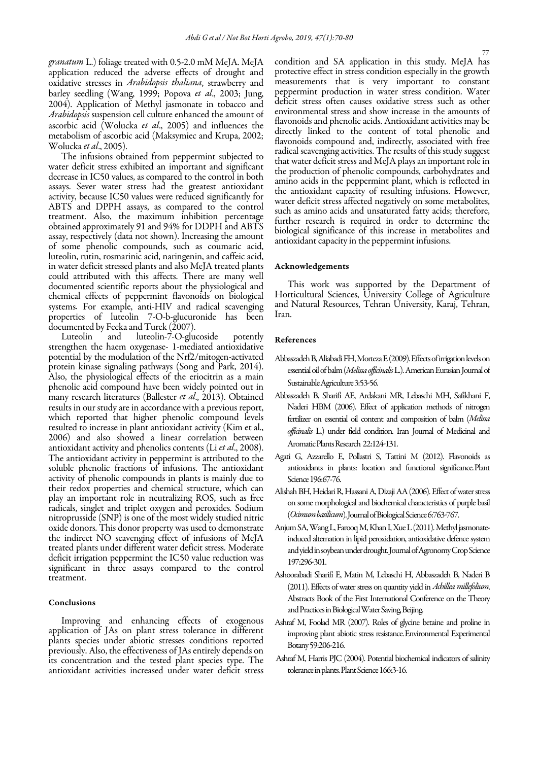granatum L.) foliage treated with 0.5-2.0 mM MeJA. MeJA application reduced the adverse effects of drought and oxidative stresses in Arabidopsis thaliana, strawberry and barley seedling (Wang, 1999; Popova et al., 2003; Jung, 2004). Application of Methyl jasmonate in tobacco and Arabidopsis suspension cell culture enhanced the amount of ascorbic acid (Wolucka *et al.*, 2005) and influences the metabolism of ascorbic acid (Maksymiec and Krupa, 2002; Wolucka et al., 2005).

The infusions obtained from peppermint subjected to water deficit stress exhibited an important and significant decrease in IC50 values, as compared to the control in both assays. Sever water stress had the greatest antioxidant activity, because IC50 values were reduced significantly for ABTS and DPPH assays, as compared to the control treatment. Also, the maximum inhibition percentage obtained approximately 91 and 94% for DDPH and ABTS assay, respectively (data not shown). Increasing the amount of some phenolic compounds, such as coumaric acid, luteolin, rutin, rosmarinic acid, naringenin, and caffeic acid, in water deficit stressed plants and also MeJA treated plants could attributed with this affects. There are many well documented scientific reports about the physiological and chemical effects of peppermint flavonoids on biological systems. For example, anti-HIV and radical scavenging properties of luteolin 7-O-b-glucuronide has been documented by Fecka and Turek ( $2007$ ).

Luteolin and luteolin-7-O-glucoside potently strengthen the haem oxygenase- 1-mediated antioxidative potential by the modulation of the Nrf2/mitogen-activated protein kinase signaling pathways (Song and Park, 2014). Also, the physiological effects of the eriocitrin as a main phenolic acid compound have been widely pointed out in many research literatures (Ballester et al., 2013). Obtained results in our study are in accordance with a previous report, which reported that higher phenolic compound levels resulted to increase in plant antioxidant activity (Kim et al., 2006) and also showed a linear correlation between antioxidant activity and phenolics contents (Li et al., 2008). The antioxidant activity in peppermint is attributed to the soluble phenolic fractions of infusions. The antioxidant activity of phenolic compounds in plants is mainly due to their redox properties and chemical structure, which can play an important role in neutralizing ROS, such as free radicals, singlet and triplet oxygen and peroxides. Sodium nitroprusside (SNP) is one of the most widely studied nitric oxide donors. This donor property was used to demonstrate the indirect NO scavenging effect of infusions of MeJA treated plants under different water deficit stress. Moderate deficit irrigation peppermint the IC50 value reduction was significant in three assays compared to the control treatment.

## Conclusions

Improving and enhancing effects of exogenous application of JAs on plant stress tolerance in different plants species under abiotic stresses conditions reported previously. Also, the effectiveness of JAs entirely depends on its concentration and the tested plant species type. The antioxidant activities increased under water deficit stress condition and SA application in this study. MeJA has protective effect in stress condition especially in the growth measurements that is very important to constant peppermint production in water stress condition. Water deficit stress often causes oxidative stress such as other environmental stress and show increase in the amounts of flavonoids and phenolic acids. Antioxidant activities may be directly linked to the content of total phenolic and flavonoids compound and, indirectly, associated with free radical scavenging activities. The results of this study suggest that water deficit stress and MeJA plays an important role in the production of phenolic compounds, carbohydrates and amino acids in the peppermint plant, which is reflected in the antioxidant capacity of resulting infusions. However, water deficit stress affected negatively on some metabolites, such as amino acids and unsaturated fatty acids; therefore, further research is required in order to determine the biological significance of this increase in metabolites and antioxidant capacity in the peppermint infusions.

#### Acknowledgements

This work was supported by the Department of Horticultural Sciences, University College of Agriculture and Natural Resources, Tehran University, Karaj, Tehran, Iran.

## References

- Abbaszadeh B, Aliabadi FH, Morteza E (2009). Effects of irrigation levels on essential oil of balm (Melissa officinalisL.). American Eurasian Journal of Sustainable Agriculture 3:53-56.
- Abbaszadeh B, Sharifi AE, Ardakani MR, Lebaschi MH, Safikhani F, Naderi HBM (2006). Effect of application methods of nitrogen fertilizer on essential oil content and composition of balm (Melissa officinalis L.) under field condition. Iran Journal of Medicinal and Aromatic Plants Research 22:124-131.
- Agati G, Azzarello E, Pollastri S, Tattini M (2012). Flavonoids as antioxidants in plants: location and functional significance. Plant Science 196:67-76.
- Alishah BH, Heidari R, Hassani A, Dizaji AA (2006). Effect of water stress on some morphological and biochemical characteristics of purple basil (Ocimum basilicum). Journal of Biological Science 6:763-767.
- Anjum SA, Wang L, Farooq M, Khan I, Xue L (2011). Methyl jasmonateinduced alternation in lipid peroxidation, antioxidative defence system and yield in soybean under drought. Journal of Agronomy Crop Science 197:296-301.
- Ashoorabadi Sharifi E, Matin M, Lebaschi H, Abbaszadeh B, Naderi B (2011). Effects of water stress on quantity yield in Achillea millefolium. Abstracts Book of the First International Conference on the Theory and Practices in Biological Water Saving, Beijing.
- Ashraf M, Foolad MR (2007). Roles of glycine betaine and proline in improving plant abiotic stress resistance. Environmental Experimental Botany 59:206-216.
- Ashraf M, Harris PJC (2004). Potential biochemical indicators of salinity tolerance in plants. Plant Science 166:3-16.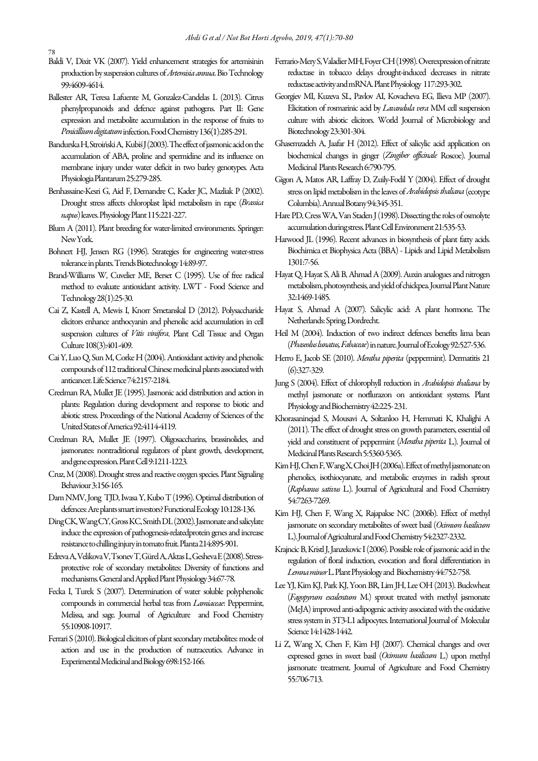- 78
- Baldi V, Dixit VK (2007). Yield enhancement strategies for artemisinin production by suspension cultures of Artemisia annua. Bio Technology 99:4609-4614.
- Ballester AR, Teresa Lafuente M, Gonzalez-Candelas L (2013). Citrus phenylpropanoids and defence against pathogens. Part II: Gene expression and metabolite accumulation in the response of fruits to Penicillium digitatum infection. Food Chemistry 136(1):285-291.
- Bandurska H, Stroiński A, Kubiś J (2003). The effect of jasmonic acid on the accumulation of ABA, proline and spermidine and its influence on membrane injury under water deficit in two barley genotypes. Acta Physiologia Plantarum 25:279-285.
- Benhassaine-Kesri G, Aid F, Demandre C, Kader JC, Mazliak P (2002). Drought stress affects chloroplast lipid metabolism in rape (Brassica napus) leaves. Physiology Plant 115:221-227.
- Blum A (2011). Plant breeding for water-limited environments. Springer: New York.
- Bohnert HJ, Jensen RG (1996). Strategies for engineering water-stress tolerance in plants. Trends Biotechnology 14:89-97.
- Brand-Williams W, Cuvelier ME, Berset C (1995). Use of free radical method to evaluate antioxidant activity. LWT - Food Science and Technology 28(1):25-30.
- Cai Z, Kastell A, Mewis I, Knorr Smetanskal D (2012). Polysaccharide elicitors enhance anthocyanin and phenolic acid accumulation in cell suspension cultures of Vitis vinifera. Plant Cell Tissue and Organ Culture 108(3):401-409.
- Cai Y, Luo Q, Sun M, Corke H (2004). Antioxidant activity and phenolic compounds of 112 traditional Chinese medicinal plants associated with anticancer. Life Science 74:2157-2184.
- Creelman RA, Mullet JE (1995). Jasmonic acid distribution and action in plants: Regulation during development and response to biotic and abiotic stress. Proceedings of the National Academy of Sciences of the United States of America 92:4114-4119.
- Creelman RA, Mullet JE (1997). Oligosaccharins, brassinolides, and jasmonates: nontraditional regulators of plant growth, development, and gene expression. Plant Cell 9:1211-1223.
- Cruz, M (2008). Drought stress and reactive oxygen species. Plant Signaling Behaviour 3:156-165.
- Dam NMV, Jong TJD, Iwasa Y, Kubo T (1996). Optimal distribution of defences: Are plants smart investors? Functional Ecology 10:128-136.
- Ding CK, Wang CY, Gross KC, Smith DL (2002). Jasmonate and salicylate induce the expression of pathogenesis-relatedprotein genes and increase resistance to chilling injury in tomato fruit. Planta 214:895-901.
- Edreva A, Velikova V, Tsonev T, Gürel A, Aktas L, Gesheva E (2008). Stressprotective role of secondary metabolites: Diversity of functions and mechanisms. General and Applied Plant Physiology 34:67-78.
- Fecka I, Turek S (2007). Determination of water soluble polyphenolic compounds in commercial herbal teas from *Lamiaceae*: Peppermint, Melissa, and sage. Journal of Agriculture and Food Chemistry 55:10908-10917.
- Ferrari S (2010). Biological elicitors of plant secondary metabolites: mode of action and use in the production of nutraceutics. Advance in Experimental Medicinal and Biology 698:152-166.
- Ferrario-Mery S, Valadier MH, Foyer CH (1998). Overexpression of nitrate reductase in tobacco delays drought-induced decreases in nitrate reductase activity and mRNA. Plant Physiology 117:293-302.
- Georgiev MI, Kuzeva SL, Pavlov AI, Kovacheva EG, Ilieva MP (2007). Elicitation of rosmarinic acid by Lavandula vera MM cell suspension culture with abiotic elicitors. World Journal of Microbiology and Biotechnology 23:301-304.
- Ghasemzadeh A, Jaafar H (2012). Effect of salicylic acid application on biochemical changes in ginger (Zingiber officinale Roscoe). Journal Medicinal Plants Research 6:790-795.
- Gigon A, Matos AR, Laffray D, Zuily-Fodil Y (2004). Effect of drought stress on lipid metabolism in the leaves of Arabidopsis thaliana (ecotype Columbia). Annual Botany 94:345-351.
- Hare PD, Cress WA, Van Staden J (1998). Dissecting the roles of osmolyte accumulation during stress. Plant Cell Environment 21:535-53.
- Harwood JL (1996). Recent advances in biosynthesis of plant fatty acids. Biochimica et Biophysica Acta (BBA) - Lipids and Lipid Metabolism 1301:7-56.
- Hayat Q, Hayat S, Ali B, Ahmad A (2009). Auxin analogues and nitrogen metabolism, photosynthesis, and yield of chickpea. Journal Plant Nature 32:1469-1485.
- Hayat S, Ahmad A (2007). Salicylic acid: A plant hormone. The Netherlands: Spring. Dordrecht.
- Heil M (2004). Induction of two indirect defences benefits lima bean (Phaseolus lunatus, Fabaceae) in nature. Journal of Ecology 92:527-536.
- Herro E, Jacob SE (2010). Mentha piperita (peppermint). Dermatitis 21 (6):327-329.
- Jung S (2004). Effect of chlorophyll reduction in Arabidopsis thaliana by methyl jasmonate or norflurazon on antioxidant systems. Plant Physiology and Biochemistry42:225- 231.
- Khorasaninejad S, Mousavi A, Soltanloo H, Hemmati K, Khalighi A (2011). The effect of drought stress on growth parameters, essential oil yield and constituent of peppermint (Mentha piperita L.). Journal of Medicinal Plants Research 5:5360-5365.
- Kim HJ, Chen F, Wang X, Choi JH (2006a). Effect of methyl jasmonate on phenolics, isothiocyanate, and metabolic enzymes in radish sprout (Raphanus sativus L.). Journal of Agricultural and Food Chemistry 54:7263-7269.
- Kim HJ, Chen F, Wang X, Rajapakse NC (2006b). Effect of methyl jasmonate on secondary metabolites of sweet basil (Ocimum basilicum L.). Journal of Agricultural and Food Chemistry 54:2327-2332.
- Krajncic B, Kristl J, Janzekovic I (2006). Possible role of jasmonic acid in the regulation of floral induction, evocation and floral differentiation in Lemna minor L. Plant Physiology and Biochemistry 44:752-758.
- Lee YJ, Kim KJ, Park KJ, Yoon BR, Lim JH, Lee OH (2013). Buckwheat (Fagopyrum esculentum M.) sprout treated with methyl jasmonate (MeJA) improved anti-adipogenic activity associated with the oxidative stress system in 3T3-L1 adipocytes. International Journal of Molecular Science 14:1428-1442.
- Li Z, Wang X, Chen F, Kim HJ (2007). Chemical changes and over expressed genes in sweet basil (Ocimum basilicum L.) upon methyl jasmonate treatment. Journal of Agriculture and Food Chemistry 55:706-713.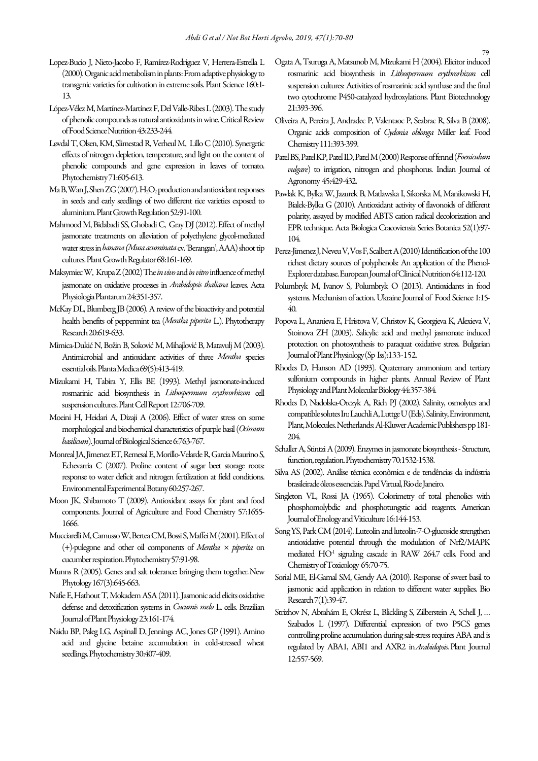- Lopez-Bucio J, Nieto-Jacobo F, Ramírez-Rodriguez V, Herrera-Estrella L (2000). Organic acid metabolism in plants: From adaptive physiology to transgenic varieties for cultivation in extreme soils. Plant Science 160:1- 13.
- López-Vélez M, Martínez-Martínez F, Del Valle-Ribes L (2003). The study of phenolic compounds as natural antioxidants in wine. Critical Review of Food Science Nutrition 43:233-244.
- Løvdal T, Olsen, KM, Slimestad R, Verheul M, Lillo C (2010). Synergetic effects of nitrogen depletion, temperature, and light on the content of phenolic compounds and gene expression in leaves of tomato. Phytochemistry 71:605-613.
- Ma B, Wan J, Shen  $ZG(2007)$ .  $H_2O_2$  production and antioxidant responses in seeds and early seedlings of two different rice varieties exposed to aluminium. Plant Growth Regulation 52:91-100.
- Mahmood M, Bidabadi SS, Ghobadi C, Gray DJ (2012). Effect of methyl jasmonate treatments on alleviation of polyethylene glycol-mediated water stress in *banana (Musa acuminata* cv. 'Berangan', AAA) shoot tip cultures. Plant Growth Regulator 68:161-169.
- Maksymiec W, Krupa  $Z(2002)$  The in vivo and in vitro influence of methyl jasmonate on oxidative processes in Arabidopsis thaliana leaves. Acta Physiologia Plantarum 24:351-357.
- McKay DL, Blumberg JB (2006). A review of the bioactivity and potential health benefits of peppermint tea (Mentha piperita L.). Phytotherapy Research 20:619-633.
- Mimica-Dukić N, Božin B, Soković M, Mihajlović B, Matavulj M (2003). Antimicrobial and antioxidant activities of three Mentha species essential oils. Planta Medica 69(5):413-419.
- Mizukami H, Tabira Y, Ellis BE (1993). Methyl jasmonate-induced rosmarinic acid biosynthesis in Lithospermum erythrorhizon cell suspension cultures. Plant Cell Report 12:706-709.
- Moeini H, Heidari A, Dizaji A (2006). Effect of water stress on some morphological and biochemical characteristics of purple basil (Ocimum basilicum). Journal of Biological Science 6:763-767.
- Monreal JA, Jimenez ET, Remesal E, Morillo-Velarde R, Garcia Maurino S, Echevarria C (2007). Proline content of sugar beet storage roots: response to water deficit and nitrogen fertilization at field conditions. Environmental Experimental Botany 60:257-267.
- Moon JK, Shibamoto T (2009). Antioxidant assays for plant and food components. Journal of Agriculture and Food Chemistry 57:1655- 1666.
- Mucciarelli M, Camusso W, Bertea CM, Bossi S, Maffei M (2001). Effect of (+)-pulegone and other oil components of Mentha  $\times$  piperita on cucumber respiration. Phytochemistry 57:91-98.
- Munns R (2005). Genes and salt tolerance: bringing them together. New Phytology 167(3):645-663.
- Nafie E, Hathout T, Mokadem ASA (2011). Jasmonic acid elicits oxidative defense and detoxification systems in Cucumis melo L. cells. Brazilian Journal of Plant Physiology 23:161-174.
- Naidu BP, Paleg LG, Aspinall D, Jennings AC, Jones GP (1991). Amino acid and glycine betaine accumulation in cold-stressed wheat seedlings. Phytochemistry 30:407-409.
- Ogata A, Tsuruga A, Matsunob M, Mizukami H (2004). Elicitor induced rosmarinic acid biosynthesis in Lithospermum erythrorhizon cell suspension cultures: Activities of rosmarinic acid synthase and the final two cytochrome P450-catalyzed hydroxylations. Plant Biotechnology 21:393-396.
- Oliveira A, Pereira J, Andradec P, Valentaoc P, Seabrac R, Silva B (2008). Organic acids composition of Cydonia oblonga Miller leaf. Food Chemistry 111:393-399.
- Patel BS, Patel KP, Patel ID, Patel M (2000) Response of fennel (Foeniculum vulgare) to irrigation, nitrogen and phosphorus. Indian Journal of Agronomy 45:429-432.
- Pawlak K, Bylka W, Jazurek B, Matlawska I, Sikorska M, Manikowski H, Bialek-Bylka G (2010). Antioxidant activity of flavonoids of different polarity, assayed by modified ABTS cation radical decolorization and EPR technique. Acta Biologica Cracoviensia Series Botanica 52(1):97- 104.
- Perez-Jimenez J, Neveu V, Vos F, Scalbert A (2010) Identification of the 100 richest dietary sources of polyphenols: An application of the Phenol-Explorer database. European Journal of Clinical Nutrition 64:112-120.
- Polumbryk M, Ivanov S, Polumbryk O (2013). Antioxidants in food systems. Mechanism of action. Ukraine Journal of Food Science 1:15- 40.
- Popova L, Ananieva E, Hristova V, Christov K, Georgieva K, Alexieva V, Stoinova ZH (2003). Salicylic acid and methyl jasmonate induced protection on photosynthesis to paraquat oxidative stress. Bulgarian Journal of Plant Physiology (Sp Iss):133-152.
- Rhodes D, Hanson AD (1993). Quaternary ammonium and tertiary sulfonium compounds in higher plants. Annual Review of Plant Physiology and Plant Molecular Biology 44:357-384.
- Rhodes D, Nadolska-Orczyk A, Rich PJ (2002). Salinity, osmolytes and compatible solutes In: Lauchli A, Luttge U (Eds). Salinity, Environment, Plant, Molecules. Netherlands: Al-Kluwer Academic Publishers pp 181- 204.
- Schaller A, Stintzi A (2009). Enzymes in jasmonate biosynthesis Structure, function, regulation. Phytochemistry 70:1532-1538.
- Silva AS (2002). Análise técnica econômica e de tendências da indústria brasileirade óleos essenciais. Papel Virtual, Rio de Janeiro.
- Singleton VL, Rossi JA (1965). Colorimetry of total phenolics with phosphomolybdic and phosphotungstic acid reagents. American Journal of Enology and Viticulture 16:144-153.
- Song YS, Park CM (2014). Luteolin and luteolin-7-O-glucoside strengthen antioxidative potential through the modulation of Nrf2/MAPK mediated HO<sup>1</sup> signaling cascade in RAW 264.7 cells. Food and Chemistry of Toxicology 65:70-75.
- Sorial ME, El-Gamal SM, Gendy AA (2010). Response of sweet basil to jasmonic acid application in relation to different water supplies. Bio Research 7(1):39-47.
- Strizhov N, Abrahám E, Okrész L, Blickling S, Zilberstein A, Schell J, … Szabados L (1997). Differential expression of two P5CS genes controlling proline accumulation during salt-stress requires ABA and is regulated by ABA1, ABI1 and AXR2 in Arabidopsis. Plant Journal 12:557-569.